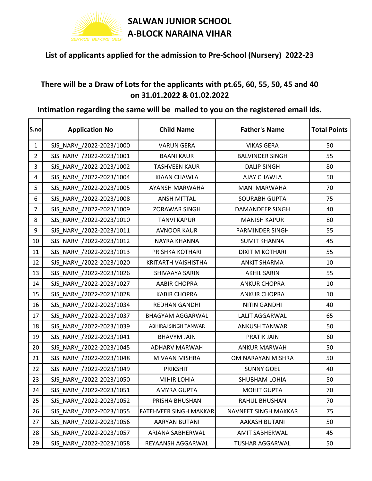

#### List of applicants applied for the admission to Pre-School (Nursery) 2022-23

#### There will be a Draw of Lots for the applicants with pt.65, 60, 55, 50, 45 and 40 on 31.01.2022 & 01.02.2022

#### Intimation regarding the same will be mailed to you on the registered email ids.

| S.no           | <b>Application No</b>    | <b>Child Name</b>       | <b>Father's Name</b>   | <b>Total Points</b> |
|----------------|--------------------------|-------------------------|------------------------|---------------------|
| $\mathbf{1}$   | SJS_NARV_/2022-2023/1000 | <b>VARUN GERA</b>       | <b>VIKAS GERA</b>      | 50                  |
| $\overline{2}$ | SJS NARV /2022-2023/1001 | <b>BAANI KAUR</b>       | <b>BALVINDER SINGH</b> | 55                  |
| 3              | SJS_NARV_/2022-2023/1002 | <b>TASHVEEN KAUR</b>    | <b>DALIP SINGH</b>     | 80                  |
| 4              | SJS_NARV_/2022-2023/1004 | <b>KIAAN CHAWLA</b>     | <b>AJAY CHAWLA</b>     | 50                  |
| 5              | SJS_NARV_/2022-2023/1005 | AYANSH MARWAHA          | <b>MANI MARWAHA</b>    | 70                  |
| 6              | SJS_NARV_/2022-2023/1008 | <b>ANSH MITTAL</b>      | <b>SOURABH GUPTA</b>   | 75                  |
| $\overline{7}$ | SJS_NARV_/2022-2023/1009 | ZORAWAR SINGH           | DAMANDEEP SINGH        | 40                  |
| 8              | SJS_NARV_/2022-2023/1010 | <b>TANVI KAPUR</b>      | <b>MANISH KAPUR</b>    | 80                  |
| 9              | SJS_NARV_/2022-2023/1011 | <b>AVNOOR KAUR</b>      | PARMINDER SINGH        | 55                  |
| 10             | SJS NARV /2022-2023/1012 | NAYRA KHANNA            | <b>SUMIT KHANNA</b>    | 45                  |
| 11             | SJS NARV /2022-2023/1013 | PRISHKA KOTHARI         | <b>DIXIT M KOTHARI</b> | 55                  |
| 12             | SJS_NARV_/2022-2023/1020 | KRITARTH VAISHISTHA     | <b>ANKIT SHARMA</b>    | 10                  |
| 13             | SJS_NARV_/2022-2023/1026 | SHIVAAYA SARIN          | <b>AKHIL SARIN</b>     | 55                  |
| 14             | SJS_NARV_/2022-2023/1027 | <b>AABIR CHOPRA</b>     | <b>ANKUR CHOPRA</b>    | 10                  |
| 15             | SJS_NARV_/2022-2023/1028 | <b>KABIR CHOPRA</b>     | <b>ANKUR CHOPRA</b>    | 10                  |
| 16             | SJS_NARV_/2022-2023/1034 | REDHAN GANDHI           | <b>NITIN GANDHI</b>    | 40                  |
| 17             | SJS_NARV_/2022-2023/1037 | <b>BHAGYAM AGGARWAL</b> | <b>LALIT AGGARWAL</b>  | 65                  |
| 18             | SJS_NARV_/2022-2023/1039 | ABHIRAJ SINGH TANWAR    | ANKUSH TANWAR          | 50                  |
| 19             | SJS_NARV_/2022-2023/1041 | <b>BHAVYM JAIN</b>      | PRATIK JAIN            | 60                  |
| 20             | SJS_NARV_/2022-2023/1045 | <b>ADHARV MARWAH</b>    | <b>ANKUR MARWAH</b>    | 50                  |
| 21             | SJS_NARV_/2022-2023/1048 | <b>MIVAAN MISHRA</b>    | OM NARAYAN MISHRA      | 50                  |
| 22             | SJS_NARV_/2022-2023/1049 | <b>PRIKSHIT</b>         | <b>SUNNY GOEL</b>      | 40                  |
| 23             | SJS NARV /2022-2023/1050 | MIHIR LOHIA             | SHUBHAM LOHIA          | 50                  |
| 24             | SJS_NARV_/2022-2023/1051 | AMYRA GUPTA             | <b>MOHIT GUPTA</b>     | 70                  |
| 25             | SJS NARV /2022-2023/1052 | PRISHA BHUSHAN          | RAHUL BHUSHAN          | 70                  |
| 26             | SJS NARV /2022-2023/1055 | FATEHVEER SINGH MAKKAR  | NAVNEET SINGH MAKKAR   | 75                  |
| 27             | SJS NARV /2022-2023/1056 | <b>AARYAN BUTANI</b>    | <b>AAKASH BUTANI</b>   | 50                  |
| 28             | SJS_NARV_/2022-2023/1057 | ARIANA SABHERWAL        | AMIT SABHERWAL         | 45                  |
| 29             | SJS NARV /2022-2023/1058 | REYAANSH AGGARWAL       | <b>TUSHAR AGGARWAL</b> | 50                  |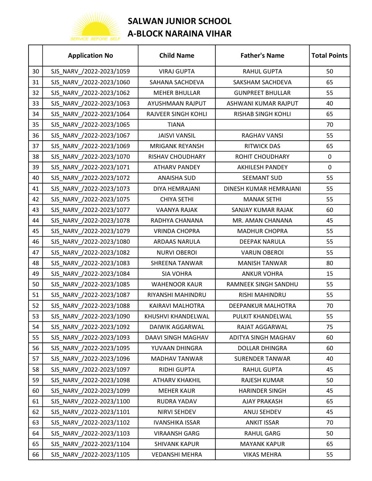

|    | <b>Application No</b>    | <b>Child Name</b>      | <b>Father's Name</b>      | <b>Total Points</b> |
|----|--------------------------|------------------------|---------------------------|---------------------|
| 30 | SJS_NARV_/2022-2023/1059 | <b>VIRAJ GUPTA</b>     | <b>RAHUL GUPTA</b>        | 50                  |
| 31 | SJS NARV /2022-2023/1060 | SAHANA SACHDEVA        | SAKSHAM SACHDEVA          | 65                  |
| 32 | SJS_NARV_/2022-2023/1062 | <b>MEHER BHULLAR</b>   | <b>GUNPREET BHULLAR</b>   | 55                  |
| 33 | SJS_NARV_/2022-2023/1063 | AYUSHMAAN RAJPUT       | ASHWANI KUMAR RAJPUT      | 40                  |
| 34 | SJS_NARV_/2022-2023/1064 | RAJVEER SINGH KOHLI    | <b>RISHAB SINGH KOHLI</b> | 65                  |
| 35 | SJS NARV /2022-2023/1065 | <b>TIANA</b>           |                           | 70                  |
| 36 | SJS_NARV_/2022-2023/1067 | <b>JAISVI VANSIL</b>   | RAGHAV VANSI              | 55                  |
| 37 | SJS_NARV_/2022-2023/1069 | <b>MRIGANK REYANSH</b> | <b>RITWICK DAS</b>        | 65                  |
| 38 | SJS_NARV_/2022-2023/1070 | RISHAV CHOUDHARY       | <b>ROHIT CHOUDHARY</b>    | $\mathbf 0$         |
| 39 | SJS_NARV_/2022-2023/1071 | <b>ATHARV PANDEY</b>   | <b>AKHILESH PANDEY</b>    | $\mathbf 0$         |
| 40 | SJS_NARV_/2022-2023/1072 | <b>ANAISHA SUD</b>     | <b>SEEMANT SUD</b>        | 55                  |
| 41 | SJS_NARV_/2022-2023/1073 | DIYA HEMRAJANI         | DINESH KUMAR HEMRAJANI    | 55                  |
| 42 | SJS NARV /2022-2023/1075 | <b>CHIYA SETHI</b>     | <b>MANAK SETHI</b>        | 55                  |
| 43 | SJS NARV /2022-2023/1077 | <b>VAANYA RAJAK</b>    | SANJAY KUMAR RAJAK        | 60                  |
| 44 | SJS_NARV_/2022-2023/1078 | RADHYA CHANANA         | MR. AMAN CHANANA          | 45                  |
| 45 | SJS_NARV_/2022-2023/1079 | <b>VRINDA CHOPRA</b>   | <b>MADHUR CHOPRA</b>      | 55                  |
| 46 | SJS_NARV_/2022-2023/1080 | ARDAAS NARULA          | <b>DEEPAK NARULA</b>      | 55                  |
| 47 | SJS_NARV_/2022-2023/1082 | <b>NURVI OBEROI</b>    | <b>VARUN OBEROI</b>       | 55                  |
| 48 | SJS_NARV_/2022-2023/1083 | SHREENA TANWAR         | <b>MANISH TANWAR</b>      | 80                  |
| 49 | SJS_NARV_/2022-2023/1084 | <b>SIA VOHRA</b>       | <b>ANKUR VOHRA</b>        | 15                  |
| 50 | SJS_NARV_/2022-2023/1085 | <b>WAHENOOR KAUR</b>   | RAMNEEK SINGH SANDHU      | 55                  |
| 51 | SJS_NARV_/2022-2023/1087 | RIYANSHI MAHINDRU      | RISHI MAHINDRU            | 55                  |
| 52 | SJS_NARV_/2022-2023/1088 | KAIRAVI MALHOTRA       | <b>DEEPANKUR MALHOTRA</b> | 70                  |
| 53 | SJS_NARV_/2022-2023/1090 | KHUSHVI KHANDELWAL     | PULKIT KHANDELWAL         | 55                  |
| 54 | SJS NARV /2022-2023/1092 | DAIWIK AGGARWAL        | RAJAT AGGARWAL            | 75                  |
| 55 | SJS_NARV_/2022-2023/1093 | DAAVI SINGH MAGHAV     | ADITYA SINGH MAGHAV       | 60                  |
| 56 | SJS NARV /2022-2023/1095 | YUVAAN DHINGRA         | <b>DOLLAR DHINGRA</b>     | 60                  |
| 57 | SJS_NARV_/2022-2023/1096 | MADHAV TANWAR          | <b>SURENDER TANWAR</b>    | 40                  |
| 58 | SJS_NARV_/2022-2023/1097 | <b>RIDHI GUPTA</b>     | <b>RAHUL GUPTA</b>        | 45                  |
| 59 | SJS_NARV_/2022-2023/1098 | ATHARV KHAKHIL         | <b>RAJESH KUMAR</b>       | 50                  |
| 60 | SJS_NARV_/2022-2023/1099 | <b>MEHER KAUR</b>      | <b>HARINDER SINGH</b>     | 45                  |
| 61 | SJS_NARV_/2022-2023/1100 | RUDRA YADAV            | <b>AJAY PRAKASH</b>       | 65                  |
| 62 | SJS_NARV_/2022-2023/1101 | NIRVI SEHDEV           | ANUJ SEHDEV               | 45                  |
| 63 | SJS_NARV_/2022-2023/1102 | <b>IVANSHIKA ISSAR</b> | <b>ANKIT ISSAR</b>        | 70                  |
| 64 | SJS_NARV_/2022-2023/1103 | <b>VIRAANSH GARG</b>   | RAHUL GARG                | 50                  |
| 65 | SJS_NARV_/2022-2023/1104 | <b>SHIVANK KAPUR</b>   | <b>MAYANK KAPUR</b>       | 65                  |
| 66 | SJS_NARV_/2022-2023/1105 | <b>VEDANSHI MEHRA</b>  | <b>VIKAS MEHRA</b>        | 55                  |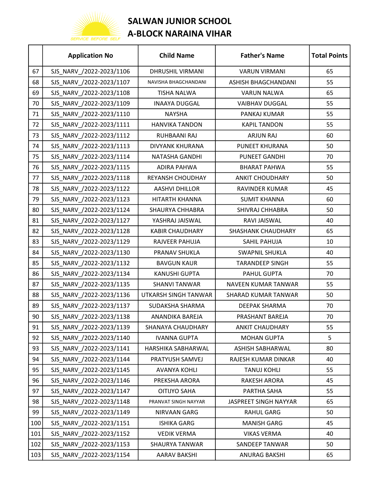

|     | <b>Application No</b>    | <b>Child Name</b>       | <b>Father's Name</b>   | <b>Total Points</b> |
|-----|--------------------------|-------------------------|------------------------|---------------------|
| 67  | SJS_NARV_/2022-2023/1106 | <b>DHRUSHIL VIRMANI</b> | <b>VARUN VIRMANI</b>   | 65                  |
| 68  | SJS_NARV_/2022-2023/1107 | NAVISHA BHAGCHANDANI    | ASHISH BHAGCHANDANI    | 55                  |
| 69  | SJS_NARV_/2022-2023/1108 | <b>TISHA NALWA</b>      | <b>VARUN NALWA</b>     | 65                  |
| 70  | SJS_NARV_/2022-2023/1109 | <b>INAAYA DUGGAL</b>    | <b>VAIBHAV DUGGAL</b>  | 55                  |
| 71  | SJS NARV /2022-2023/1110 | <b>NAYSHA</b>           | PANKAJ KUMAR           | 55                  |
| 72  | SJS_NARV_/2022-2023/1111 | <b>HANVIKA TANDON</b>   | <b>KAPIL TANDON</b>    | 55                  |
| 73  | SJS_NARV_/2022-2023/1112 | RUHBAANI RAJ            | <b>ARJUN RAJ</b>       | 60                  |
| 74  | SJS_NARV_/2022-2023/1113 | DIVYANK KHURANA         | PUNEET KHURANA         | 50                  |
| 75  | SJS_NARV_/2022-2023/1114 | NATASHA GANDHI          | <b>PUNEET GANDHI</b>   | 70                  |
| 76  | SJS_NARV_/2022-2023/1115 | <b>ADIRA PAHWA</b>      | <b>BHARAT PAHWA</b>    | 55                  |
| 77  | SJS_NARV_/2022-2023/1118 | <b>REYANSH CHOUDHAY</b> | <b>ANKIT CHOUDHARY</b> | 50                  |
| 78  | SJS_NARV_/2022-2023/1122 | <b>AASHVI DHILLOR</b>   | <b>RAVINDER KUMAR</b>  | 45                  |
| 79  | SJS_NARV_/2022-2023/1123 | HITARTH KHANNA          | <b>SUMIT KHANNA</b>    | 60                  |
| 80  | SJS NARV /2022-2023/1124 | <b>SHAURYA CHHABRA</b>  | SHIVRAJ CHHABRA        | 50                  |
| 81  | SJS_NARV_/2022-2023/1127 | YASHRAJ JAISWAL         | RAVI JAISWAL           | 40                  |
| 82  | SJS_NARV_/2022-2023/1128 | <b>KABIR CHAUDHARY</b>  | SHASHANK CHAUDHARY     | 65                  |
| 83  | SJS_NARV_/2022-2023/1129 | RAJVEER PAHUJA          | <b>SAHIL PAHUJA</b>    | 10                  |
| 84  | SJS_NARV_/2022-2023/1130 | PRANAV SHUKLA           | <b>SWAPNIL SHUKLA</b>  | 40                  |
| 85  | SJS_NARV_/2022-2023/1132 | <b>BAVGUN KAUR</b>      | <b>TARANDEEP SINGH</b> | 55                  |
| 86  | SJS_NARV_/2022-2023/1134 | <b>KANUSHI GUPTA</b>    | PAHUL GUPTA            | 70                  |
| 87  | SJS_NARV_/2022-2023/1135 | <b>SHANVI TANWAR</b>    | NAVEEN KUMAR TANWAR    | 55                  |
| 88  | SJS_NARV_/2022-2023/1136 | UTKARSH SINGH TANWAR    | SHARAD KUMAR TANWAR    | 50                  |
| 89  | SJS_NARV_/2022-2023/1137 | SUDAKSHA SHARMA         | DEEPAK SHARMA          | 70                  |
| 90  | SJS_NARV_/2022-2023/1138 | ANANDIKA BAREJA         | PRASHANT BAREJA        | 70                  |
| 91  | SJS_NARV_/2022-2023/1139 | SHANAYA CHAUDHARY       | <b>ANKIT CHAUDHARY</b> | 55                  |
| 92  | SJS_NARV_/2022-2023/1140 | <b>IVANNA GUPTA</b>     | <b>MOHAN GUPTA</b>     | 5                   |
| 93  | SJS NARV /2022-2023/1141 | HARSHIKA SABHARWAL      | ASHISH SABHARWAL       | 80                  |
| 94  | SJS NARV /2022-2023/1144 | PRATYUSH SAMVEJ         | RAJESH KUMAR DINKAR    | 40                  |
| 95  | SJS NARV /2022-2023/1145 | <b>AVANYA KOHLI</b>     | <b>TANUJ KOHLI</b>     | 55                  |
| 96  | SJS_NARV_/2022-2023/1146 | PREKSHA ARORA           | RAKESH ARORA           | 45                  |
| 97  | SJS_NARV_/2022-2023/1147 | <b>OITIJYO SAHA</b>     | PARTHA SAHA            | 55                  |
| 98  | SJS_NARV_/2022-2023/1148 | PRANVAT SINGH NAYYAR    | JASPREET SINGH NAYYAR  | 65                  |
| 99  | SJS_NARV_/2022-2023/1149 | NIRVAAN GARG            | <b>RAHUL GARG</b>      | 50                  |
| 100 | SJS_NARV_/2022-2023/1151 | <b>ISHIKA GARG</b>      | <b>MANISH GARG</b>     | 45                  |
| 101 | SJS_NARV_/2022-2023/1152 | <b>VEDIK VERMA</b>      | <b>VIKAS VERMA</b>     | 40                  |
| 102 | SJS_NARV_/2022-2023/1153 | <b>SHAURYA TANWAR</b>   | <b>SANDEEP TANWAR</b>  | 50                  |
| 103 | SJS_NARV_/2022-2023/1154 | <b>AARAV BAKSHI</b>     | ANURAG BAKSHI          | 65                  |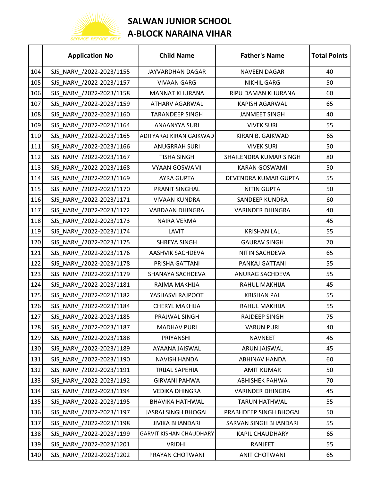

|     | <b>Application No</b>    | <b>Child Name</b>              | <b>Father's Name</b>    | <b>Total Points</b> |
|-----|--------------------------|--------------------------------|-------------------------|---------------------|
| 104 | SJS_NARV_/2022-2023/1155 | JAYVARDHAN DAGAR               | <b>NAVEEN DAGAR</b>     | 40                  |
| 105 | SJS_NARV_/2022-2023/1157 | <b>VIVAAN GARG</b>             | <b>NIKHIL GARG</b>      | 50                  |
| 106 | SJS NARV /2022-2023/1158 | <b>MANNAT KHURANA</b>          | RIPU DAMAN KHURANA      | 60                  |
| 107 | SJS_NARV_/2022-2023/1159 | ATHARV AGARWAL                 | <b>KAPISH AGARWAL</b>   | 65                  |
| 108 | SJS_NARV_/2022-2023/1160 | <b>TARANDEEP SINGH</b>         | <b>JANMEET SINGH</b>    | 40                  |
| 109 | SJS_NARV_/2022-2023/1164 | <b>ANAANYYA SURI</b>           | <b>VIVEK SURI</b>       | 55                  |
| 110 | SJS_NARV_/2022-2023/1165 | ADITYARAJ KIRAN GAIKWAD        | KIRAN B. GAIKWAD        | 65                  |
| 111 | SJS_NARV_/2022-2023/1166 | <b>ANUGRRAH SURI</b>           | <b>VIVEK SURI</b>       | 50                  |
| 112 | SJS_NARV_/2022-2023/1167 | <b>TISHA SINGH</b>             | SHAILENDRA KUMAR SINGH  | 80                  |
| 113 | SJS_NARV_/2022-2023/1168 | <b>VYAAN GOSWAMI</b>           | <b>KARAN GOSWAMI</b>    | 50                  |
| 114 | SJS NARV /2022-2023/1169 | <b>AYRA GUPTA</b>              | DEVENDRA KUMAR GUPTA    | 55                  |
| 115 | SJS_NARV_/2022-2023/1170 | PRANIT SINGHAL                 | <b>NITIN GUPTA</b>      | 50                  |
| 116 | SJS_NARV_/2022-2023/1171 | <b>VIVAAN KUNDRA</b>           | SANDEEP KUNDRA          | 60                  |
| 117 | SJS_NARV_/2022-2023/1172 | <b>VARDAAN DHINGRA</b>         | <b>VARINDER DHINGRA</b> | 40                  |
| 118 | SJS_NARV_/2022-2023/1173 | <b>NAIRA VERMA</b>             |                         | 45                  |
| 119 | SJS_NARV_/2022-2023/1174 | LAVIT                          | <b>KRISHAN LAL</b>      | 55                  |
| 120 | SJS_NARV_/2022-2023/1175 | SHREYA SINGH                   | <b>GAURAV SINGH</b>     | 70                  |
| 121 | SJS_NARV_/2022-2023/1176 | AASHVIK SACHDEVA               | NITIN SACHDEVA          | 65                  |
| 122 | SJS_NARV_/2022-2023/1178 | PRISHA GATTANI                 | PANKAJ GATTANI          | 55                  |
| 123 | SJS_NARV_/2022-2023/1179 | SHANAYA SACHDEVA               | ANURAG SACHDEVA         | 55                  |
| 124 | SJS_NARV_/2022-2023/1181 | RAIMA MAKHIJA                  | RAHUL MAKHIJA           | 45                  |
| 125 | SJS_NARV_/2022-2023/1182 | YASHASVI RAJPOOT               | <b>KRISHAN PAL</b>      | 55                  |
| 126 | SJS NARV /2022-2023/1184 | <b>CHERYL MAKHIJA</b>          | RAHUL MAKHIJA           | 55                  |
| 127 | SJS_NARV_/2022-2023/1185 | PRAJWAL SINGH                  | <b>RAJDEEP SINGH</b>    | 75                  |
| 128 | SJS_NARV_/2022-2023/1187 | <b>MADHAV PURI</b>             | <b>VARUN PURI</b>       | 40                  |
| 129 | SJS_NARV_/2022-2023/1188 | PRIYANSHI                      | <b>NAVNEET</b>          | 45                  |
| 130 | SJS NARV /2022-2023/1189 | AYAANA JAISWAL                 | <b>ARUN JAISWAL</b>     | 45                  |
| 131 | SJS NARV /2022-2023/1190 | <b>NAVISH HANDA</b>            | <b>ABHINAV HANDA</b>    | 60                  |
| 132 | SJS NARV /2022-2023/1191 | TRIJAL SAPEHIA                 | <b>AMIT KUMAR</b>       | 50                  |
| 133 | SJS_NARV_/2022-2023/1192 | <b>GIRVANI PAHWA</b>           | <b>ABHISHEK PAHWA</b>   | 70                  |
| 134 | SJS_NARV_/2022-2023/1194 | <b>VEDIKA DHINGRA</b>          | <b>VARINDER DHINGRA</b> | 45                  |
| 135 | SJS_NARV_/2022-2023/1195 | <b>BHAVIKA HATHWAL</b>         | <b>TARUN HATHWAL</b>    | 55                  |
| 136 | SJS_NARV_/2022-2023/1197 | JASRAJ SINGH BHOGAL            | PRABHDEEP SINGH BHOGAL  | 50                  |
| 137 | SJS_NARV_/2022-2023/1198 | <b>JIVIKA BHANDARI</b>         | SARVAN SINGH BHANDARI   | 55                  |
| 138 | SJS_NARV_/2022-2023/1199 | <b>GARVIT KISHAN CHAUDHARY</b> | <b>KAPIL CHAUDHARY</b>  | 65                  |
| 139 | SJS NARV /2022-2023/1201 | <b>VRIDHI</b>                  | RANJEET                 | 55                  |
| 140 | SJS_NARV_/2022-2023/1202 | PRAYAN CHOTWANI                | <b>ANIT CHOTWANI</b>    | 65                  |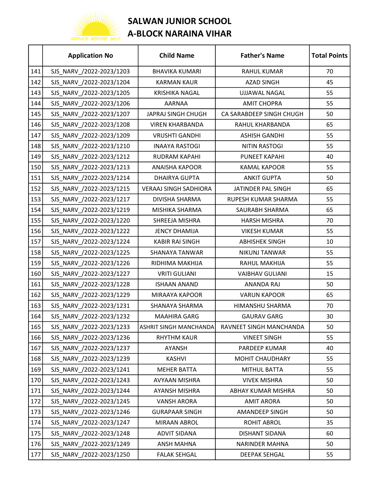

|     | <b>Application No</b>    | <b>Child Name</b>            | <b>Father's Name</b>     | <b>Total Points</b> |
|-----|--------------------------|------------------------------|--------------------------|---------------------|
| 141 | SJS_NARV_/2022-2023/1203 | <b>BHAVIKA KUMARI</b>        | <b>RAHUL KUMAR</b>       | 70                  |
| 142 | SJS NARV /2022-2023/1204 | <b>KARMAN KAUR</b>           | <b>AZAD SINGH</b>        | 45                  |
| 143 | SJS_NARV_/2022-2023/1205 | <b>KRISHIKA NAGAL</b>        | <b>UJJAWAL NAGAL</b>     | 55                  |
| 144 | SJS_NARV_/2022-2023/1206 | <b>AARNAA</b>                | <b>AMIT CHOPRA</b>       | 55                  |
| 145 | SJS NARV /2022-2023/1207 | JAPRAJ SINGH CHUGH           | CA SARABDEEP SINGH CHUGH | 50                  |
| 146 | SJS_NARV_/2022-2023/1208 | <b>VIREN KHARBANDA</b>       | RAHUL KHARBANDA          | 65                  |
| 147 | SJS_NARV_/2022-2023/1209 | <b>VRUSHTI GANDHI</b>        | <b>ASHISH GANDHI</b>     | 55                  |
| 148 | SJS_NARV_/2022-2023/1210 | <b>INAAYA RASTOGI</b>        | <b>NITIN RASTOGI</b>     | 55                  |
| 149 | SJS_NARV_/2022-2023/1212 | RUDRAM KAPAHI                | <b>PUNEET KAPAHI</b>     | 40                  |
| 150 | SJS_NARV_/2022-2023/1213 | <b>ANAISHA KAPOOR</b>        | <b>KAMAL KAPOOR</b>      | 55                  |
| 151 | SJS_NARV_/2022-2023/1214 | <b>DHAIRYA GUPTA</b>         | <b>ANKIT GUPTA</b>       | 50                  |
| 152 | SJS NARV /2022-2023/1215 | <b>VERAAJ SINGH SADHIORA</b> | JATINDER PAL SINGH       | 65                  |
| 153 | SJS_NARV_/2022-2023/1217 | <b>DIVISHA SHARMA</b>        | RUPESH KUMAR SHARMA      | 55                  |
| 154 | SJS_NARV_/2022-2023/1219 | MISHIKA SHARMA               | SAURABH SHARMA           | 65                  |
| 155 | SJS_NARV_/2022-2023/1220 | SHREEJA MISHRA               | <b>HARSH MISHRA</b>      | 70                  |
| 156 | SJS_NARV_/2022-2023/1222 | <b>JENCY DHAMIJA</b>         | <b>VIKESH KUMAR</b>      | 55                  |
| 157 | SJS_NARV_/2022-2023/1224 | <b>KABIR RAI SINGH</b>       | <b>ABHISHEK SINGH</b>    | 10                  |
| 158 | SJS_NARV_/2022-2023/1225 | SHANAYA TANWAR               | NIKUNJ TANWAR            | 55                  |
| 159 | SJS_NARV_/2022-2023/1226 | RIDHIMA MAKHIJA              | RAHUL MAKHIJA            | 55                  |
| 160 | SJS_NARV_/2022-2023/1227 | <b>VRITI GULIANI</b>         | <b>VAIBHAV GULIANI</b>   | 15                  |
| 161 | SJS_NARV_/2022-2023/1228 | <b>ISHAAN ANAND</b>          | <b>ANANDA RAJ</b>        | 50                  |
| 162 | SJS_NARV_/2022-2023/1229 | MIRAAYA KAPOOR               | <b>VARUN KAPOOR</b>      | 65                  |
| 163 | SJS NARV /2022-2023/1231 | SHANAYA SHARMA               | HIMANSHU SHARMA          | 70                  |
| 164 | SJS_NARV_/2022-2023/1232 | MAAHIRA GARG                 | <b>GAURAV GARG</b>       | 30                  |
| 165 | SJS NARV /2022-2023/1233 | ASHRIT SINGH MANCHANDA       | RAVNEET SINGH MANCHANDA  | 50                  |
| 166 | SJS_NARV_/2022-2023/1236 | <b>RHYTHM KAUR</b>           | <b>VINEET SINGH</b>      | 55                  |
| 167 | SJS NARV /2022-2023/1237 | AYANSH                       | PARDEEP KUMAR            | 40                  |
| 168 | SJS NARV /2022-2023/1239 | <b>KASHVI</b>                | <b>MOHIT CHAUDHARY</b>   | 55                  |
| 169 | SJS_NARV_/2022-2023/1241 | <b>MEHER BATTA</b>           | <b>MITHUL BATTA</b>      | 55                  |
| 170 | SJS NARV /2022-2023/1243 | AVYAAN MISHRA                | <b>VIVEK MISHRA</b>      | 50                  |
| 171 | SJS NARV /2022-2023/1244 | AYANSH MISHRA                | ABHAY KUMAR MISHRA       | 50                  |
| 172 | SJS_NARV_/2022-2023/1245 | <b>VANSH ARORA</b>           | <b>AMIT ARORA</b>        | 50                  |
| 173 | SJS_NARV_/2022-2023/1246 | <b>GURAPAAR SINGH</b>        | AMANDEEP SINGH           | 50                  |
| 174 | SJS_NARV_/2022-2023/1247 | MIRAAN ABROL                 | ROHIT ABROL              | 35                  |
| 175 | SJS_NARV_/2022-2023/1248 | <b>ADVIT SIDANA</b>          | DISHANT SIDANA           | 60                  |
| 176 | SJS_NARV_/2022-2023/1249 | <b>ANSH MAHNA</b>            | <b>NARINDER MAHNA</b>    | 50                  |
| 177 | SJS_NARV_/2022-2023/1250 | <b>FALAK SEHGAL</b>          | DEEPAK SEHGAL            | 55                  |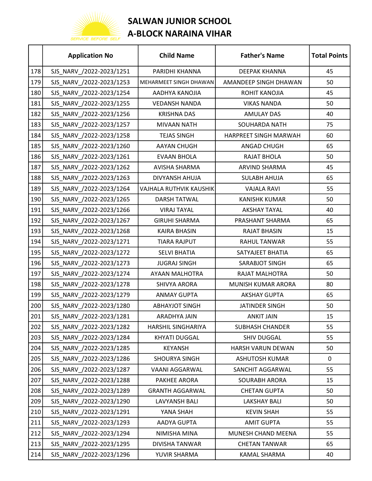

|     | <b>Application No</b>    | <b>Child Name</b>       | <b>Father's Name</b>   | <b>Total Points</b> |
|-----|--------------------------|-------------------------|------------------------|---------------------|
| 178 | SJS_NARV_/2022-2023/1251 | PARIDHI KHANNA          | <b>DEEPAK KHANNA</b>   | 45                  |
| 179 | SJS_NARV_/2022-2023/1253 | MEHARMEET SINGH DHAWAN  | AMANDEEP SINGH DHAWAN  | 50                  |
| 180 | SJS_NARV_/2022-2023/1254 | AADHYA KANOJIA          | ROHIT KANOJIA          | 45                  |
| 181 | SJS_NARV_/2022-2023/1255 | <b>VEDANSH NANDA</b>    | <b>VIKAS NANDA</b>     | 50                  |
| 182 | SJS_NARV_/2022-2023/1256 | <b>KRISHNA DAS</b>      | <b>AMULAY DAS</b>      | 40                  |
| 183 | SJS_NARV_/2022-2023/1257 | <b>MIVAAN NATH</b>      | SOUHARDA NATH          | 75                  |
| 184 | SJS_NARV_/2022-2023/1258 | <b>TEJAS SINGH</b>      | HARPREET SINGH MARWAH  | 60                  |
| 185 | SJS_NARV_/2022-2023/1260 | <b>AAYAN CHUGH</b>      | ANGAD CHUGH            | 65                  |
| 186 | SJS_NARV_/2022-2023/1261 | <b>EVAAN BHOLA</b>      | <b>RAJAT BHOLA</b>     | 50                  |
| 187 | SJS_NARV_/2022-2023/1262 | <b>AVISHA SHARMA</b>    | ARVIND SHARMA          | 45                  |
| 188 | SJS_NARV_/2022-2023/1263 | DIVYANSH AHUJA          | <b>SULABH AHUJA</b>    | 65                  |
| 189 | SJS NARV /2022-2023/1264 | VAJHALA RUTHVIK KAUSHIK | <b>VAJALA RAVI</b>     | 55                  |
| 190 | SJS_NARV_/2022-2023/1265 | <b>DARSH TATWAL</b>     | <b>KANISHK KUMAR</b>   | 50                  |
| 191 | SJS NARV /2022-2023/1266 | <b>VIRAJ TAYAL</b>      | <b>AKSHAY TAYAL</b>    | 40                  |
| 192 | SJS_NARV_/2022-2023/1267 | <b>GIRUHI SHARMA</b>    | PRASHANT SHARMA        | 65                  |
| 193 | SJS_NARV_/2022-2023/1268 | <b>KAIRA BHASIN</b>     | <b>RAJAT BHASIN</b>    | 15                  |
| 194 | SJS_NARV_/2022-2023/1271 | <b>TIARA RAJPUT</b>     | RAHUL TANWAR           | 55                  |
| 195 | SJS_NARV_/2022-2023/1272 | <b>SELVI BHATIA</b>     | SATYAJEET BHATIA       | 65                  |
| 196 | SJS_NARV_/2022-2023/1273 | <b>JUGRAJ SINGH</b>     | SARABJOT SINGH         | 65                  |
| 197 | SJS_NARV_/2022-2023/1274 | AYAAN MALHOTRA          | RAJAT MALHOTRA         | 50                  |
| 198 | SJS_NARV_/2022-2023/1278 | SHIVYA ARORA            | MUNISH KUMAR ARORA     | 80                  |
| 199 | SJS_NARV_/2022-2023/1279 | <b>ANMAY GUPTA</b>      | <b>AKSHAY GUPTA</b>    | 65                  |
| 200 | SJS_NARV_/2022-2023/1280 | <b>ABHAYJOT SINGH</b>   | <b>JATINDER SINGH</b>  | 50                  |
| 201 | SJS_NARV_/2022-2023/1281 | ARADHYA JAIN            | <b>ANKIT JAIN</b>      | 15                  |
| 202 | SJS_NARV_/2022-2023/1282 | HARSHIL SINGHARIYA      | <b>SUBHASH CHANDER</b> | 55                  |
| 203 | SJS NARV /2022-2023/1284 | KHYATI DUGGAL           | SHIV DUGGAL            | 55                  |
| 204 | SJS NARV /2022-2023/1285 | <b>KEYANSH</b>          | HARSH VARUN DEWAN      | 50                  |
| 205 | SJS_NARV_/2022-2023/1286 | SHOURYA SINGH           | <b>ASHUTOSH KUMAR</b>  | 0                   |
| 206 | SJS_NARV_/2022-2023/1287 | <b>VAANI AGGARWAL</b>   | SANCHIT AGGARWAL       | 55                  |
| 207 | SJS_NARV_/2022-2023/1288 | PAKHEE ARORA            | SOURABH ARORA          | 15                  |
| 208 | SJS_NARV_/2022-2023/1289 | <b>GRANTH AGGARWAL</b>  | <b>CHETAN GUPTA</b>    | 50                  |
| 209 | SJS_NARV_/2022-2023/1290 | <b>LAVYANSH BALI</b>    | <b>LAKSHAY BALI</b>    | 50                  |
| 210 | SJS_NARV_/2022-2023/1291 | YANA SHAH               | <b>KEVIN SHAH</b>      | 55                  |
| 211 | SJS_NARV_/2022-2023/1293 | AADYA GUPTA             | <b>AMIT GUPTA</b>      | 55                  |
| 212 | SJS_NARV_/2022-2023/1294 | NIMISHA MINA            | MUNESH CHAND MEENA     | 55                  |
| 213 | SJS_NARV_/2022-2023/1295 | <b>DIVISHA TANWAR</b>   | <b>CHETAN TANWAR</b>   | 65                  |
| 214 | SJS_NARV_/2022-2023/1296 | YUVIR SHARMA            | KAMAL SHARMA           | 40                  |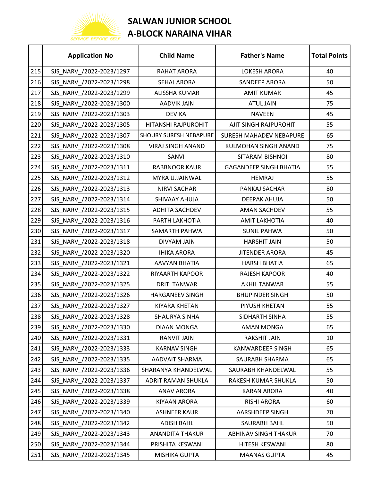

|     | <b>Application No</b>    | <b>Child Name</b>        | <b>Father's Name</b>          | <b>Total Points</b> |
|-----|--------------------------|--------------------------|-------------------------------|---------------------|
| 215 | SJS_NARV_/2022-2023/1297 | <b>RAHAT ARORA</b>       | <b>LOKESH ARORA</b>           | 40                  |
| 216 | SJS_NARV_/2022-2023/1298 | <b>SEHAJ ARORA</b>       | SANDEEP ARORA                 | 50                  |
| 217 | SJS_NARV_/2022-2023/1299 | ALISSHA KUMAR            | <b>AMIT KUMAR</b>             | 45                  |
| 218 | SJS_NARV_/2022-2023/1300 | <b>AADVIK JAIN</b>       | <b>ATUL JAIN</b>              | 75                  |
| 219 | SJS_NARV_/2022-2023/1303 | <b>DEVIKA</b>            | <b>NAVEEN</b>                 | 45                  |
| 220 | SJS_NARV_/2022-2023/1305 | HITANSHI RAJPUROHIT      | AJIT SINGH RAJPUROHIT         | 55                  |
| 221 | SJS_NARV_/2022-2023/1307 | SHOURY SURESH NEBAPURE   | SURESH MAHADEV NEBAPURE       | 65                  |
| 222 | SJS_NARV_/2022-2023/1308 | <b>VIRAJ SINGH ANAND</b> | KULMOHAN SINGH ANAND          | 75                  |
| 223 | SJS_NARV_/2022-2023/1310 | SANVI                    | SITARAM BISHNOI               | 80                  |
| 224 | SJS_NARV_/2022-2023/1311 | <b>RABBNOOR KAUR</b>     | <b>GAGANDEEP SINGH BHATIA</b> | 55                  |
| 225 | SJS_NARV_/2022-2023/1312 | MYRA UJJAINWAL           | <b>HEMRAJ</b>                 | 55                  |
| 226 | SJS_NARV_/2022-2023/1313 | <b>NIRVI SACHAR</b>      | PANKAJ SACHAR                 | 80                  |
| 227 | SJS_NARV_/2022-2023/1314 | SHIVAAY AHUJA            | DEEPAK AHUJA                  | 50                  |
| 228 | SJS_NARV_/2022-2023/1315 | <b>ADHITA SACHDEV</b>    | <b>AMAN SACHDEV</b>           | 55                  |
| 229 | SJS_NARV_/2022-2023/1316 | PARTH LAKHOTIA           | <b>AMIT LAKHOTIA</b>          | 40                  |
| 230 | SJS_NARV_/2022-2023/1317 | SAMARTH PAHWA            | <b>SUNIL PAHWA</b>            | 50                  |
| 231 | SJS_NARV_/2022-2023/1318 | DIVYAM JAIN              | <b>HARSHIT JAIN</b>           | 50                  |
| 232 | SJS_NARV_/2022-2023/1320 | <b>IHIKA ARORA</b>       | <b>JITENDER ARORA</b>         | 45                  |
| 233 | SJS_NARV_/2022-2023/1321 | AAVYAN BHATIA            | <b>HARSH BHATIA</b>           | 65                  |
| 234 | SJS_NARV_/2022-2023/1322 | RIYAARTH KAPOOR          | RAJESH KAPOOR                 | 40                  |
| 235 | SJS_NARV_/2022-2023/1325 | <b>DRITI TANWAR</b>      | <b>AKHIL TANWAR</b>           | 55                  |
| 236 | SJS_NARV_/2022-2023/1326 | <b>HARGANEEV SINGH</b>   | <b>BHUPINDER SINGH</b>        | 50                  |
| 237 | SJS_NARV_/2022-2023/1327 | <b>KIYARA KHETAN</b>     | PIYUSH KHETAN                 | 55                  |
| 238 | SJS_NARV_/2022-2023/1328 | <b>SHAURYA SINHA</b>     | SIDHARTH SINHA                | 55                  |
| 239 | SJS NARV /2022-2023/1330 | DIAAN MONGA              | <b>AMAN MONGA</b>             | 65                  |
| 240 | SJS_NARV_/2022-2023/1331 | <b>RANVIT JAIN</b>       | RAKSHIT JAIN                  | 10                  |
| 241 | SJS NARV /2022-2023/1333 | <b>KARNAV SINGH</b>      | <b>KANWARDEEP SINGH</b>       | 65                  |
| 242 | SJS NARV /2022-2023/1335 | AADVAIT SHARMA           | SAURABH SHARMA                | 65                  |
| 243 | SJS NARV /2022-2023/1336 | SHARANYA KHANDELWAL      | SAURABH KHANDELWAL            | 55                  |
| 244 | SJS NARV /2022-2023/1337 | ADRIT RAMAN SHUKLA       | RAKESH KUMAR SHUKLA           | 50                  |
| 245 | SJS NARV /2022-2023/1338 | <b>ANAV ARORA</b>        | <b>KARAN ARORA</b>            | 40                  |
| 246 | SJS_NARV_/2022-2023/1339 | KIYAAN ARORA             | <b>RISHI ARORA</b>            | 60                  |
| 247 | SJS_NARV_/2022-2023/1340 | <b>ASHNEER KAUR</b>      | AARSHDEEP SINGH               | 70                  |
| 248 | SJS_NARV_/2022-2023/1342 | <b>ADISH BAHL</b>        | <b>SAURABH BAHL</b>           | 50                  |
| 249 | SJS_NARV_/2022-2023/1343 | <b>ANANDITA THAKUR</b>   | <b>ABHINAV SINGH THAKUR</b>   | 70                  |
| 250 | SJS_NARV_/2022-2023/1344 | PRISHITA KESWANI         | HITESH KESWANI                | 80                  |
| 251 | SJS_NARV_/2022-2023/1345 | MISHIKA GUPTA            | <b>MAANAS GUPTA</b>           | 45                  |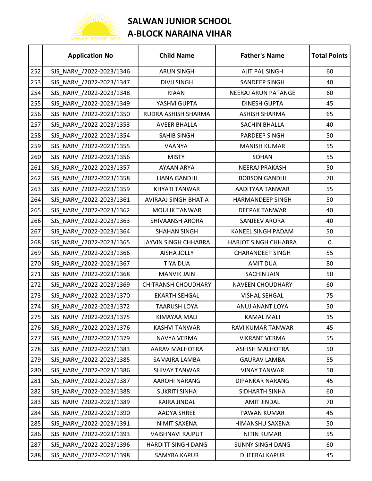

|     | <b>Application No</b>    | <b>Child Name</b>           | <b>Father's Name</b>    | <b>Total Points</b> |
|-----|--------------------------|-----------------------------|-------------------------|---------------------|
| 252 | SJS_NARV_/2022-2023/1346 | <b>ARUN SINGH</b>           | AJIT PAL SINGH          | 60                  |
| 253 | SJS_NARV_/2022-2023/1347 | <b>DIVIJ SINGH</b>          | SANDEEP SINGH           | 40                  |
| 254 | SJS_NARV_/2022-2023/1348 | <b>RIAAN</b>                | NEERAJ ARUN PATANGE     | 60                  |
| 255 | SJS_NARV_/2022-2023/1349 | YASHVI GUPTA                | <b>DINESH GUPTA</b>     | 45                  |
| 256 | SJS_NARV_/2022-2023/1350 | RUDRA ASHISH SHARMA         | <b>ASHISH SHARMA</b>    | 65                  |
| 257 | SJS NARV /2022-2023/1353 | <b>AVEER BHALLA</b>         | <b>SACHIN BHALLA</b>    | 40                  |
| 258 | SJS_NARV_/2022-2023/1354 | SAHIB SINGH                 | PARDEEP SINGH           | 50                  |
| 259 | SJS_NARV_/2022-2023/1355 | VAANYA                      | <b>MANISH KUMAR</b>     | 55                  |
| 260 | SJS_NARV_/2022-2023/1356 | <b>MISTY</b>                | SOHAN                   | 55                  |
| 261 | SJS_NARV_/2022-2023/1357 | <b>AYAAN ARYA</b>           | <b>NEERAJ PRAKASH</b>   | 50                  |
| 262 | SJS_NARV_/2022-2023/1358 | <b>LIANA GANDHI</b>         | <b>BOBSON GANDHI</b>    | 70                  |
| 263 | SJS_NARV_/2022-2023/1359 | <b>KHYATI TANWAR</b>        | AADITYAA TANWAR         | 55                  |
| 264 | SJS NARV /2022-2023/1361 | <b>AVIRAAJ SINGH BHATIA</b> | HARMANDEEP SINGH        | 50                  |
| 265 | SJS_NARV_/2022-2023/1362 | <b>MOULIK TANWAR</b>        | <b>DEEPAK TANWAR</b>    | 40                  |
| 266 | SJS_NARV_/2022-2023/1363 | SHIVAANSH ARORA             | <b>SANJEEV ARORA</b>    | 40                  |
| 267 | SJS_NARV_/2022-2023/1364 | <b>SHAHAN SINGH</b>         | KANEEL SINGH PADAM      | 50                  |
| 268 | SJS_NARV_/2022-2023/1365 | JAYVIN SINGH CHHABRA        | HARJOT SINGH CHHABRA    | 0                   |
| 269 | SJS_NARV_/2022-2023/1366 | AISHA JOLLY                 | <b>CHARANDEEP SINGH</b> | 55                  |
| 270 | SJS_NARV_/2022-2023/1367 | <b>TIYA DUA</b>             | <b>AMIT DUA</b>         | 80                  |
| 271 | SJS_NARV_/2022-2023/1368 | <b>MANVIK JAIN</b>          | <b>SACHIN JAIN</b>      | 50                  |
| 272 | SJS_NARV_/2022-2023/1369 | <b>CHITRANSH CHOUDHARY</b>  | <b>NAVEEN CHOUDHARY</b> | 60                  |
| 273 | SJS_NARV_/2022-2023/1370 | <b>EKARTH SEHGAL</b>        | <b>VISHAL SEHGAL</b>    | 75                  |
| 274 | SJS_NARV_/2022-2023/1372 | <b>TAARUSH LOYA</b>         | ANUJ ANANT LOYA         | 50                  |
| 275 | SJS_NARV_/2022-2023/1375 | KIMAYAA MALI                | KAMAL MALI              | 15                  |
| 276 | SJS_NARV_/2022-2023/1376 | <b>KASHVI TANWAR</b>        | RAVI KUMAR TANWAR       | 45                  |
| 277 | SJS_NARV_/2022-2023/1379 | NAVYA VERMA                 | <b>VIKRANT VERMA</b>    | 55                  |
| 278 | SJS NARV /2022-2023/1383 | AARAV MALHOTRA              | <b>ASHISH MALHOTRA</b>  | 50                  |
| 279 | SJS_NARV_/2022-2023/1385 | SAMAIRA LAMBA               | <b>GAURAV LAMBA</b>     | 55                  |
| 280 | SJS NARV /2022-2023/1386 | <b>SHIVAY TANWAR</b>        | <b>VINAY TANWAR</b>     | 50                  |
| 281 | SJS NARV /2022-2023/1387 | <b>AAROHI NARANG</b>        | <b>DIPANKAR NARANG</b>  | 45                  |
| 282 | SJS NARV /2022-2023/1388 | <b>SUKRITI SINHA</b>        | SIDHARTH SINHA          | 60                  |
| 283 | SJS_NARV_/2022-2023/1389 | <b>KAIRA JINDAL</b>         | <b>AMIT JINDAL</b>      | 70                  |
| 284 | SJS_NARV_/2022-2023/1390 | <b>AADYA SHREE</b>          | PAWAN KUMAR             | 45                  |
| 285 | SJS_NARV_/2022-2023/1391 | NIMIT SAXENA                | HIMANSHU SAXENA         | 50                  |
| 286 | SJS_NARV_/2022-2023/1393 | VAISHNAVI RAJPUT            | <b>NITIN KUMAR</b>      | 55                  |
| 287 | SJS_NARV_/2022-2023/1396 | HARDITT SINGH DANG          | <b>SUNNY SINGH DANG</b> | 60                  |
| 288 | SJS_NARV_/2022-2023/1398 | SAMYRA KAPUR                | DHEERAJ KAPUR           | 45                  |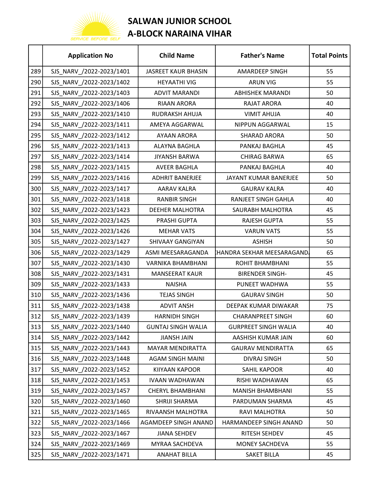

|     | <b>Application No</b>    | <b>Child Name</b>           | <b>Father's Name</b>        | <b>Total Points</b> |
|-----|--------------------------|-----------------------------|-----------------------------|---------------------|
| 289 | SJS_NARV_/2022-2023/1401 | <b>JASREET KAUR BHASIN</b>  | <b>AMARDEEP SINGH</b>       | 55                  |
| 290 | SJS_NARV_/2022-2023/1402 | <b>HEYAATHI VIG</b>         | <b>ARUN VIG</b>             | 55                  |
| 291 | SJS_NARV_/2022-2023/1403 | <b>ADVIT MARANDI</b>        | <b>ABHISHEK MARANDI</b>     | 50                  |
| 292 | SJS_NARV_/2022-2023/1406 | <b>RIAAN ARORA</b>          | <b>RAJAT ARORA</b>          | 40                  |
| 293 | SJS NARV /2022-2023/1410 | RUDRAKSH AHUJA              | <b>VIMIT AHUJA</b>          | 40                  |
| 294 | SJS_NARV_/2022-2023/1411 | AMEYA AGGARWAL              | NIPPUN AGGARWAL             | 15                  |
| 295 | SJS_NARV_/2022-2023/1412 | <b>AYAAN ARORA</b>          | <b>SHARAD ARORA</b>         | 50                  |
| 296 | SJS_NARV_/2022-2023/1413 | ALAYNA BAGHLA               | PANKAJ BAGHLA               | 45                  |
| 297 | SJS_NARV_/2022-2023/1414 | <b>JIYANSH BARWA</b>        | <b>CHIRAG BARWA</b>         | 65                  |
| 298 | SJS NARV /2022-2023/1415 | AVEER BAGHLA                | PANKAJ BAGHLA               | 40                  |
| 299 | SJS_NARV_/2022-2023/1416 | <b>ADHRIT BANERJEE</b>      | JAYANT KUMAR BANERJEE       | 50                  |
| 300 | SJS_NARV_/2022-2023/1417 | <b>AARAV KALRA</b>          | <b>GAURAV KALRA</b>         | 40                  |
| 301 | SJS_NARV_/2022-2023/1418 | <b>RANBIR SINGH</b>         | RANJEET SINGH GAHLA         | 40                  |
| 302 | SJS_NARV_/2022-2023/1423 | DEEHER MALHOTRA             | SAURABH MALHOTRA            | 45                  |
| 303 | SJS_NARV_/2022-2023/1425 | PRASHI GUPTA                | <b>RAJESH GUPTA</b>         | 55                  |
| 304 | SJS_NARV_/2022-2023/1426 | <b>MEHAR VATS</b>           | <b>VARUN VATS</b>           | 55                  |
| 305 | SJS_NARV_/2022-2023/1427 | SHIVAAY GANGIYAN            | <b>ASHISH</b>               | 50                  |
| 306 | SJS_NARV_/2022-2023/1429 | ASMI MEESARAGANDA           | HANDRA SEKHAR MEESARAGAND.  | 65                  |
| 307 | SJS_NARV_/2022-2023/1430 | <b>VARNIKA BHAMBHANI</b>    | ROHIT BHAMBHANI             | 55                  |
| 308 | SJS_NARV_/2022-2023/1431 | <b>MANSEERAT KAUR</b>       | <b>BIRENDER SINGH-</b>      | 45                  |
| 309 | SJS_NARV_/2022-2023/1433 | <b>NAISHA</b>               | PUNEET WADHWA               | 55                  |
| 310 | SJS_NARV_/2022-2023/1436 | <b>TEJAS SINGH</b>          | <b>GAURAV SINGH</b>         | 50                  |
| 311 | SJS_NARV_/2022-2023/1438 | <b>ADVIT ANSH</b>           | DEEPAK KUMAR DIWAKAR        | 75                  |
| 312 | SJS_NARV_/2022-2023/1439 | <b>HARNIDH SINGH</b>        | <b>CHARANPREET SINGH</b>    | 60                  |
| 313 | SJS NARV /2022-2023/1440 | <b>GUNTAJ SINGH WALIA</b>   | <b>GURPREET SINGH WALIA</b> | 40                  |
| 314 | SJS NARV /2022-2023/1442 | <b>JIANSH JAIN</b>          | AASHISH KUMAR JAIN          | 60                  |
| 315 | SJS_NARV_/2022-2023/1443 | <b>MAYAR MENDIRATTA</b>     | <b>GAURAV MENDIRATTA</b>    | 65                  |
| 316 | SJS_NARV_/2022-2023/1448 | <b>AGAM SINGH MAINI</b>     | <b>DIVRAJ SINGH</b>         | 50                  |
| 317 | SJS_NARV_/2022-2023/1452 | KIIYAAN KAPOOR              | SAHIL KAPOOR                | 40                  |
| 318 | SJS_NARV_/2022-2023/1453 | IVAAN WADHAWAN              | RISHI WADHAWAN              | 65                  |
| 319 | SJS_NARV_/2022-2023/1457 | <b>CHERYL BHAMBHANI</b>     | MANISH BHAMBHANI            | 55                  |
| 320 | SJS_NARV_/2022-2023/1460 | SHRIJI SHARMA               | PARDUMAN SHARMA             | 45                  |
| 321 | SJS_NARV_/2022-2023/1465 | RIVAANSH MALHOTRA           | RAVI MALHOTRA               | 50                  |
| 322 | SJS NARV /2022-2023/1466 | <b>AGAMDEEP SINGH ANAND</b> | HARMANDEEP SINGH ANAND      | 50                  |
| 323 | SJS_NARV_/2022-2023/1467 | <b>JIANA SEHDEV</b>         | RITESH SEHDEV               | 45                  |
| 324 | SJS NARV /2022-2023/1469 | MYRAA SACHDEVA              | MONEY SACHDEVA              | 55                  |
| 325 | SJS_NARV_/2022-2023/1471 | <b>ANAHAT BILLA</b>         | <b>SAKET BILLA</b>          | 45                  |